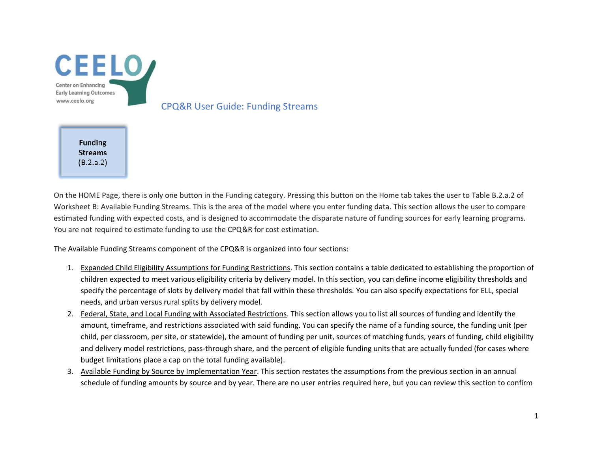

CPQ&R User Guide: Funding Streams

**Funding Streams**  $(B.2.a.2)$ 

On the HOME Page, there is only one button in the Funding category. Pressing this button on the Home tab takes the user to Table B.2.a.2 of Worksheet B: Available Funding Streams. This is the area of the model where you enter funding data. This section allows the user to compare estimated funding with expected costs, and is designed to accommodate the disparate nature of funding sources for early learning programs. You are not required to estimate funding to use the CPQ&R for cost estimation.

The Available Funding Streams component of the CPQ&R is organized into four sections:

- 1. Expanded Child Eligibility Assumptions for Funding Restrictions. This section contains a table dedicated to establishing the proportion of children expected to meet various eligibility criteria by delivery model. In this section, you can define income eligibility thresholds and specify the percentage of slots by delivery model that fall within these thresholds. You can also specify expectations for ELL, special needs, and urban versus rural splits by delivery model.
- 2. Federal, State, and Local Funding with Associated Restrictions. This section allows you to list all sources of funding and identify the amount, timeframe, and restrictions associated with said funding. You can specify the name of a funding source, the funding unit (per child, per classroom, per site, or statewide), the amount of funding per unit, sources of matching funds, years of funding, child eligibility and delivery model restrictions, pass-through share, and the percent of eligible funding units that are actually funded (for cases where budget limitations place a cap on the total funding available).
- 3. Available Funding by Source by Implementation Year. This section restates the assumptions from the previous section in an annual schedule of funding amounts by source and by year. There are no user entries required here, but you can review this section to confirm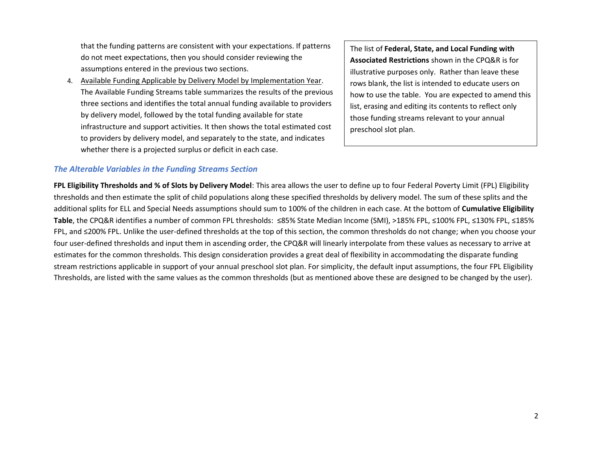that the funding patterns are consistent with your expectations. If patterns do not meet expectations, then you should consider reviewing the assumptions entered in the previous two sections.

4. Available Funding Applicable by Delivery Model by Implementation Year. The Available Funding Streams table summarizes the results of the previous three sections and identifies the total annual funding available to providers by delivery model, followed by the total funding available for state infrastructure and support activities. It then shows the total estimated cost to providers by delivery model, and separately to the state, and indicates whether there is a projected surplus or deficit in each case.

The list of **Federal, State, and Local Funding with Associated Restrictions** shown in the CPQ&R is for illustrative purposes only. Rather than leave these rows blank, the list is intended to educate users on how to use the table. You are expected to amend this list, erasing and editing its contents to reflect only those funding streams relevant to your annual preschool slot plan.

## *The Alterable Variables in the Funding Streams Section*

**FPL Eligibility Thresholds and % of Slots by Delivery Model**: This area allows the user to define up to four Federal Poverty Limit (FPL) Eligibility thresholds and then estimate the split of child populations along these specified thresholds by delivery model. The sum of these splits and the additional splits for ELL and Special Needs assumptions should sum to 100% of the children in each case. At the bottom of **Cumulative Eligibility Table**, the CPQ&R identifies a number of common FPL thresholds: ≤85% State Median Income (SMI), >185% FPL, ≤100% FPL, ≤130% FPL, ≤185% FPL, and ≤200% FPL. Unlike the user-defined thresholds at the top of this section, the common thresholds do not change; when you choose your four user-defined thresholds and input them in ascending order, the CPQ&R will linearly interpolate from these values as necessary to arrive at estimates for the common thresholds. This design consideration provides a great deal of flexibility in accommodating the disparate funding stream restrictions applicable in support of your annual preschool slot plan. For simplicity, the default input assumptions, the four FPL Eligibility Thresholds, are listed with the same values as the common thresholds (but as mentioned above these are designed to be changed by the user).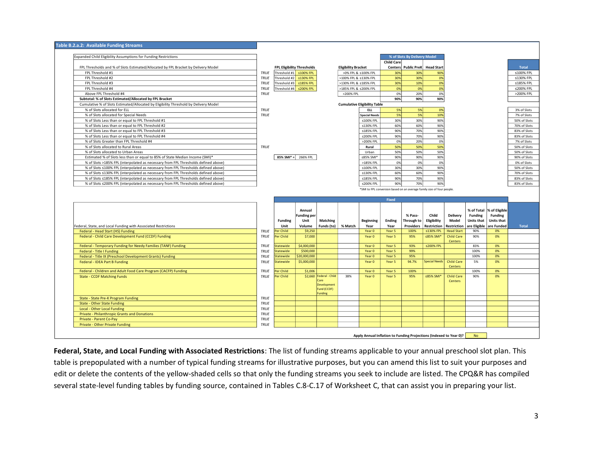| Expanded Child Eligibility Assumptions for Funding Restrictions                                                                                                          |             |                |                                   |                               |                            |                                     |              | % of Slots By Delivery Model                                                  |                       |                   |                |                   |                              |
|--------------------------------------------------------------------------------------------------------------------------------------------------------------------------|-------------|----------------|-----------------------------------|-------------------------------|----------------------------|-------------------------------------|--------------|-------------------------------------------------------------------------------|-----------------------|-------------------|----------------|-------------------|------------------------------|
|                                                                                                                                                                          |             |                |                                   |                               |                            |                                     | Child Care   |                                                                               |                       |                   |                |                   |                              |
| FPL Thresholds and % of Slots Estimated/Allocated by FPL Bracket by Delivery Model                                                                                       |             |                | <b>FPL Eligibility Thresholds</b> |                               | <b>Eligibility Bracket</b> |                                     |              | Centers Public PreK Head Start                                                |                       |                   |                |                   |                              |
| FPL Threshold #1                                                                                                                                                         | TRUE        | Threshold #1   | ≤100% FPL                         |                               |                            | >0% FPL & ≤100% FPL                 | 30%          | 30%                                                                           | 90%                   |                   |                |                   | ≤100% FPL                    |
| FPL Threshold #2                                                                                                                                                         | <b>TRUE</b> | Threshold #2   | ≤130% FPL                         |                               | >100% FPL & ≤130% FPL      |                                     | 30%          | 30%                                                                           | 0%                    |                   |                |                   | ≤130% FPL                    |
| FPL Threshold #3                                                                                                                                                         | <b>TRUE</b> | Threshold #3   | ≤185% FPL                         |                               | >130% FPL & ≤185% FPL      |                                     | 30%          | 10%                                                                           | 0%                    |                   |                |                   |                              |
| FPL Threshold #4                                                                                                                                                         | <b>TRUE</b> |                | Threshold #4 ≤200% FPL            |                               | >185% FPL & ≤200% FPL      |                                     | 0%           | 0%                                                                            | 0%                    |                   |                |                   |                              |
| Above FPL Threshold #4                                                                                                                                                   | <b>TRUE</b> |                |                                   |                               | >200% FPL                  |                                     | 0%           | 20%                                                                           | 0%                    |                   |                |                   |                              |
| Subtotal: % of Slots Estimated/Allocated by FPL Bracket                                                                                                                  |             |                |                                   |                               |                            |                                     | 90%          | 90%                                                                           | 90%                   |                   |                |                   |                              |
| Cumulative % of Slots Estimated/Allocated by Eligibility Threshold by Delivery Model                                                                                     |             |                |                                   |                               |                            | <b>Cumulative Eligibility Table</b> |              |                                                                               |                       |                   |                |                   |                              |
| % of Slots allocated for ELL                                                                                                                                             | TRUE        |                |                                   |                               |                            | <b>ELL</b>                          | 5%           | 5%                                                                            | 0%                    |                   |                |                   |                              |
| % of Slots allocated for Special Needs                                                                                                                                   | TRUE        |                |                                   |                               |                            | <b>Special Needs</b>                | 5%           | 5%                                                                            | 10%                   |                   |                |                   |                              |
| % of Slots Less than or equal to FPL Threshold #1                                                                                                                        |             |                |                                   |                               |                            | ≤100% FPL                           | 30%          | 30%                                                                           | 90%                   |                   |                |                   |                              |
| % of Slots Less than or equal to FPL Threshold #2                                                                                                                        |             |                |                                   |                               |                            | ≤130% FPL                           | 60%          | 60%                                                                           | 90%                   |                   |                |                   | 50% of Slots<br>70% of Slots |
| % of Slots Less than or equal to FPL Threshold #3                                                                                                                        |             |                |                                   |                               |                            | ≤185% FPI                           | 90%          | 70%                                                                           | 90%                   |                   |                |                   | 83% of Slots                 |
| % of Slots Less than or equal to FPL Threshold #4                                                                                                                        |             |                |                                   |                               |                            | ≤200% FPL                           | 90%          | 70%                                                                           | 90%                   |                   |                |                   | 83% of Slots                 |
| % of Slots Greater than FPL Threshold #4                                                                                                                                 |             |                |                                   |                               |                            | >200% FPL                           | 0%           | 20%                                                                           | 0%                    |                   |                |                   |                              |
| % of Slots allocated to Rural Areas                                                                                                                                      | TRUE        |                |                                   |                               |                            | Rural                               | 50%          | 50%                                                                           | 50%                   |                   |                |                   | 50% of Slots                 |
| % of Slots allocated to Urban Areas                                                                                                                                      |             |                |                                   |                               |                            | Urban                               | 50%          | 50%                                                                           | 50%                   |                   |                |                   |                              |
| Estimated % of Slots less than or equal to 85% of State Median Income (SMI)*                                                                                             |             | 85% SMI* =     | 266% FPL                          |                               |                            | ≤85% SMI <sup>*</sup>               | 90%          | 90%                                                                           | 90%                   |                   |                |                   |                              |
| % of Slots >185% FPL (interpolated as necessary from FPL Thresholds defined above)                                                                                       |             |                |                                   |                               |                            | >185% FPL                           | 0%           | 0%                                                                            | 0%                    |                   |                |                   |                              |
| % of Slots ≤100% FPL (interpolated as necessary from FPL Thresholds defined above)                                                                                       |             |                |                                   |                               |                            | ≤100% FPL                           | 30%          | 30%                                                                           | 90%                   |                   |                |                   | 50% of Slots                 |
| % of Slots ≤130% FPL (interpolated as necessary from FPL Thresholds defined above)                                                                                       |             |                |                                   |                               |                            | ≤130% FPL                           | 60%          | 60%                                                                           | 90%                   |                   |                |                   | 70% of Slots                 |
|                                                                                                                                                                          |             |                |                                   |                               |                            |                                     | 90%          |                                                                               | 90%                   |                   |                |                   |                              |
|                                                                                                                                                                          |             |                |                                   |                               |                            | ≤185% FPL                           |              | 70%                                                                           |                       |                   |                |                   |                              |
| % of Slots ≤185% FPL (interpolated as necessary from FPL Thresholds defined above)<br>% of Slots ≤200% FPL (interpolated as necessary from FPL Thresholds defined above) |             |                |                                   |                               |                            | ≤200% FPL                           | 90%          | 70%<br>*SMI to FPL conversion based on an average family size of four people. | 90%                   |                   |                |                   | 83% of Slots<br>83% of Slots |
|                                                                                                                                                                          |             |                |                                   |                               |                            |                                     | <b>Fixed</b> |                                                                               |                       |                   |                |                   |                              |
|                                                                                                                                                                          |             |                |                                   |                               |                            |                                     |              |                                                                               |                       |                   |                |                   |                              |
|                                                                                                                                                                          |             |                | Annual                            |                               |                            |                                     |              |                                                                               |                       |                   | % of Total     | % of Eligible     |                              |
|                                                                                                                                                                          |             |                | <b>Funding per</b>                |                               |                            |                                     |              | % Pass-                                                                       | Child                 | Delivery          | <b>Funding</b> | <b>Funding</b>    |                              |
|                                                                                                                                                                          |             | <b>Funding</b> | Unit                              | Matching                      |                            | <b>Beginning</b>                    | Ending       | Through to                                                                    | Eligibility           | Model             | Units that     | <b>Units that</b> |                              |
| Federal, State, and Local Funding with Associated Restrictions                                                                                                           |             | Unit           | Volume                            | Funds (to)                    | % Match                    | Year                                | Year         | <b>Providers</b>                                                              | Restriction           | Restriction       | are Eligible   | are Funded        |                              |
| Federal - Head Start (HS) Funding                                                                                                                                        | <b>TRUE</b> | er Child       | \$9,250                           |                               |                            | Year 0                              | Year 5       | 100%                                                                          | ≤130% FPL             | <b>Head Start</b> | 90%            | 0%                |                              |
| Federal - Child Care Development Fund (CCDF) Funding                                                                                                                     | TRUE        | Per Child      | \$7,000                           |                               |                            | Year 0                              | Year 5       | 95%                                                                           | ≤85% SMI <sup>*</sup> | <b>Child Care</b> | 90%            | 0%                |                              |
|                                                                                                                                                                          |             |                |                                   |                               |                            |                                     |              |                                                                               |                       | Centers           |                |                   |                              |
| Federal - Temporary Funding for Needy Families (TANF) Funding                                                                                                            | TRUE        | tatewide       | \$4,000,000                       |                               |                            | Year 0                              | Year 5       | 93%                                                                           | ≤200% FPL             |                   | 83%            | 0%                |                              |
| Federal - Title I Funding                                                                                                                                                | TRUE        | tatewide       | \$500,000                         |                               |                            | Year 0                              | Year 5       | 99%                                                                           |                       |                   | 100%           | 0%                |                              |
| Federal - Title IX (Preschool Development Grants) Funding                                                                                                                | TRUE        | tatewide       | \$20,000,000                      |                               |                            | Year 0<br>Year 0                    | Year 5       | 95%<br>94.7%                                                                  |                       | <b>Child Care</b> | 100%<br>5%     | 0%<br>0%          |                              |
| Federal - IDEA Part B Funding                                                                                                                                            | TRUE        | Statewide      | \$5,000,000                       |                               |                            |                                     | Year 5       |                                                                               | <b>Special Needs</b>  | <b>Centers</b>    |                |                   |                              |
| Federal - Children and Adult Food Care Program (CACFP) Funding                                                                                                           | TRUE        | Per Child      | \$1,006                           |                               |                            | Year 0                              | Year 5       | 100%                                                                          |                       |                   | 100%           | 0%                |                              |
| <b>State - CCDF Matching Funds</b>                                                                                                                                       | <b>TRUE</b> | Per Child      | \$2,660                           | Federal - Child               | 38%                        | Year 0                              | Year 5       | 95%                                                                           | ≤85% SMI <sup>*</sup> | <b>Child Care</b> | 90%            | 0%                |                              |
|                                                                                                                                                                          |             |                |                                   | Care                          |                            |                                     |              |                                                                               |                       | <b>Centers</b>    |                |                   |                              |
|                                                                                                                                                                          |             |                |                                   | Development                   |                            |                                     |              |                                                                               |                       |                   |                |                   |                              |
|                                                                                                                                                                          |             |                |                                   | Fund (CCDF)<br><b>Funding</b> |                            |                                     |              |                                                                               |                       |                   |                |                   |                              |
| State - State Pre-K Program Funding                                                                                                                                      | TRUE        |                |                                   |                               |                            |                                     |              |                                                                               |                       |                   |                |                   |                              |
| <b>State - Other State Funding</b>                                                                                                                                       | TRUE        |                |                                   |                               |                            |                                     |              |                                                                               |                       |                   |                |                   |                              |
| Local - Other Local Funding                                                                                                                                              | <b>TRUE</b> |                |                                   |                               |                            |                                     |              |                                                                               |                       |                   |                |                   |                              |
|                                                                                                                                                                          | <b>TRUE</b> |                |                                   |                               |                            |                                     |              |                                                                               |                       |                   |                |                   |                              |
| <b>Private - Philanthropic Grants and Donations</b><br>Private - Parent Co-Pay                                                                                           | <b>TRUE</b> |                |                                   |                               |                            |                                     |              |                                                                               |                       |                   |                |                   |                              |

**Federal, State, and Local Funding with Associated Restrictions**: The list of funding streams applicable to your annual preschool slot plan. This table is prepopulated with a number of typical funding streams for illustrative purposes, but you can amend this list to suit your purposes and edit or delete the contents of the yellow-shaded cells so that only the funding streams you seek to include are listed. The CPQ&R has compiled several state-level funding tables by funding source, contained in Tables C.8-C.17 of Worksheet C, that can assist you in preparing your list.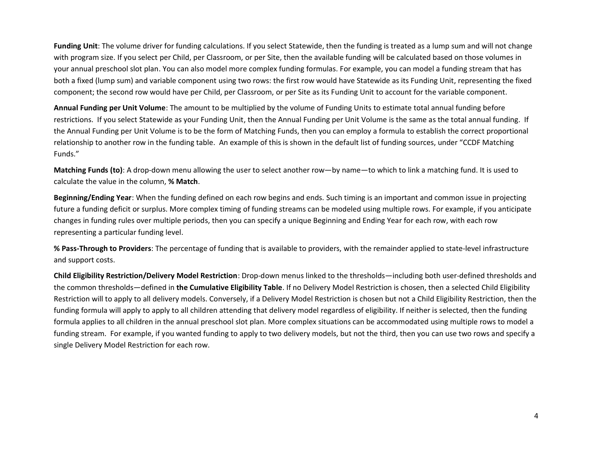**Funding Unit**: The volume driver for funding calculations. If you select Statewide, then the funding is treated as a lump sum and will not change with program size. If you select per Child, per Classroom, or per Site, then the available funding will be calculated based on those volumes in your annual preschool slot plan. You can also model more complex funding formulas. For example, you can model a funding stream that has both a fixed (lump sum) and variable component using two rows: the first row would have Statewide as its Funding Unit, representing the fixed component; the second row would have per Child, per Classroom, or per Site as its Funding Unit to account for the variable component.

**Annual Funding per Unit Volume**: The amount to be multiplied by the volume of Funding Units to estimate total annual funding before restrictions. If you select Statewide as your Funding Unit, then the Annual Funding per Unit Volume is the same as the total annual funding. If the Annual Funding per Unit Volume is to be the form of Matching Funds, then you can employ a formula to establish the correct proportional relationship to another row in the funding table. An example of this is shown in the default list of funding sources, under "CCDF Matching Funds."

**Matching Funds (to)**: A drop-down menu allowing the user to select another row—by name—to which to link a matching fund. It is used to calculate the value in the column, **% Match**.

**Beginning/Ending Year**: When the funding defined on each row begins and ends. Such timing is an important and common issue in projecting future a funding deficit or surplus. More complex timing of funding streams can be modeled using multiple rows. For example, if you anticipate changes in funding rules over multiple periods, then you can specify a unique Beginning and Ending Year for each row, with each row representing a particular funding level.

**% Pass-Through to Providers**: The percentage of funding that is available to providers, with the remainder applied to state-level infrastructure and support costs.

**Child Eligibility Restriction/Delivery Model Restriction**: Drop-down menus linked to the thresholds—including both user-defined thresholds and the common thresholds—defined in **the Cumulative Eligibility Table**. If no Delivery Model Restriction is chosen, then a selected Child Eligibility Restriction will to apply to all delivery models. Conversely, if a Delivery Model Restriction is chosen but not a Child Eligibility Restriction, then the funding formula will apply to apply to all children attending that delivery model regardless of eligibility. If neither is selected, then the funding formula applies to all children in the annual preschool slot plan. More complex situations can be accommodated using multiple rows to model a funding stream. For example, if you wanted funding to apply to two delivery models, but not the third, then you can use two rows and specify a single Delivery Model Restriction for each row.